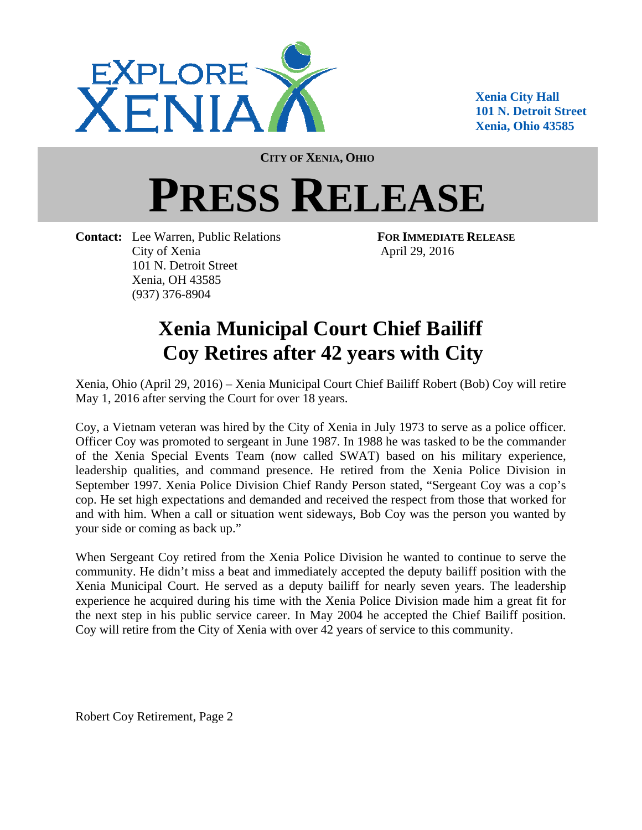

**Xenia City Hall 101 N. Detroit Street Xenia, Ohio 43585** 

**CITY OF XENIA, OHIO**

## **PRESS RELEASE**

**Contact:** Lee Warren, Public Relations **FOR IMMEDIATE RELEASE** City of Xenia April 29, 2016 101 N. Detroit Street Xenia, OH 43585 (937) 376-8904

## **Xenia Municipal Court Chief Bailiff Coy Retires after 42 years with City**

Xenia, Ohio (April 29, 2016) – Xenia Municipal Court Chief Bailiff Robert (Bob) Coy will retire May 1, 2016 after serving the Court for over 18 years.

Coy, a Vietnam veteran was hired by the City of Xenia in July 1973 to serve as a police officer. Officer Coy was promoted to sergeant in June 1987. In 1988 he was tasked to be the commander of the Xenia Special Events Team (now called SWAT) based on his military experience, leadership qualities, and command presence. He retired from the Xenia Police Division in September 1997. Xenia Police Division Chief Randy Person stated, "Sergeant Coy was a cop's cop. He set high expectations and demanded and received the respect from those that worked for and with him. When a call or situation went sideways, Bob Coy was the person you wanted by your side or coming as back up."

When Sergeant Coy retired from the Xenia Police Division he wanted to continue to serve the community. He didn't miss a beat and immediately accepted the deputy bailiff position with the Xenia Municipal Court. He served as a deputy bailiff for nearly seven years. The leadership experience he acquired during his time with the Xenia Police Division made him a great fit for the next step in his public service career. In May 2004 he accepted the Chief Bailiff position. Coy will retire from the City of Xenia with over 42 years of service to this community.

Robert Coy Retirement, Page 2